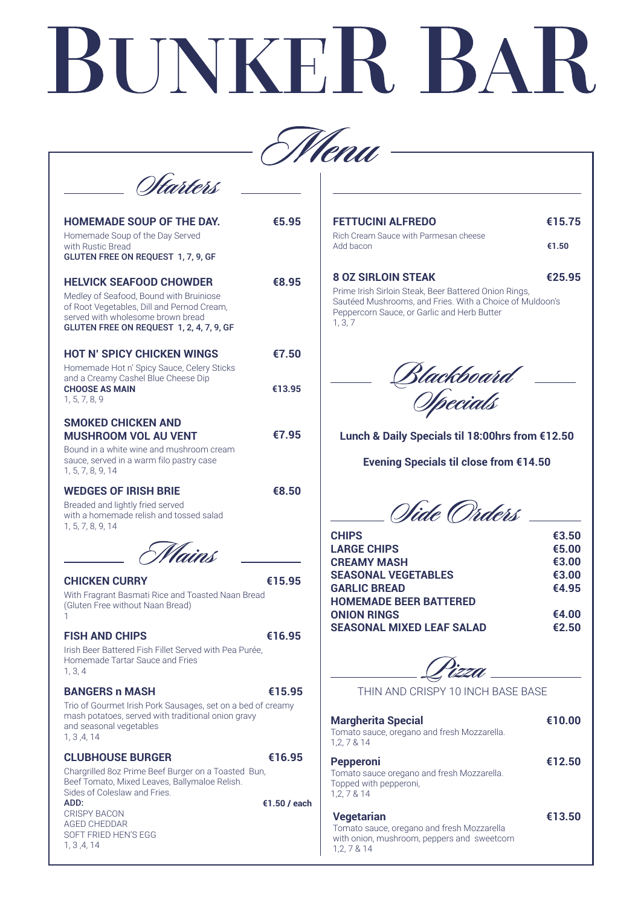# **€16.95**

**€10.00**

# **€12.50**

### **€13.50**

# **CHICKEN CURRY €15.95**

With Fragrant Basmati Rice and Toasted Naan Bread (Gluten Free without Naan Bread) 1

# **FISH AND CHIPS €16.95**

Irish Beer Battered Fish Fillet Served with Pea Purée, Homemade Tartar Sauce and Fries 1, 3, 4

### **BANGERS n MASH €15.95**

Trio of Gourmet Irish Pork Sausages, set on a bed of creamy mash potatoes, served with traditional onion gravy and seasonal vegetables 1, 3 ,4, 14

**€1.50 / each** Chargrilled 8oz Prime Beef Burger on a Toasted Bun, Beef Tomato, Mixed Leaves, Ballymaloe Relish. Sides of Coleslaw and Fries. ADD:

# **Margherita Special**

## THIN AND CRISPY 10 INCH BASE BASE

Tomato sauce, oregano and fresh Mozzarella. 1,2, 7 & 14

#### **Pepperoni**

Tomato sauce oregano and fresh Mozzarella. Topped with pepperoni, 1,2, 7 & 14

| <b>FETTUCINI ALFREDO</b>                                                                                                                                                    | €15.75 |
|-----------------------------------------------------------------------------------------------------------------------------------------------------------------------------|--------|
| Rich Cream Sauce with Parmesan cheese<br>Add bacon                                                                                                                          | €1.50  |
| <b>8 OZ SIRLOIN STEAK</b>                                                                                                                                                   | €25.95 |
| Prime Irish Sirloin Steak, Beer Battered Onion Rings,<br>Sautéed Mushrooms, and Fries. With a Choice of Muldoon's<br>Peppercorn Sauce, or Garlic and Herb Butter<br>1, 3, 7 |        |

Blackboard —<br>Opecials

## **Vegetarian**

Tomato sauce, oregano and fresh Mozzarella with onion, mushroom, peppers and sweetcorn 1,2, 7 & 14

## **CLUBHOUSE BURGER**

# BUNKER BAI



| <b>HOMEMADE SOUP OF THE DAY.</b><br>Homemade Soup of the Day Served<br>with Rustic Bread<br><b>GLUTEN FREE ON REQUEST 1, 7, 9, GF</b>                                                                    | €5.95  |
|----------------------------------------------------------------------------------------------------------------------------------------------------------------------------------------------------------|--------|
| <b>HELVICK SEAFOOD CHOWDER</b><br>Medley of Seafood, Bound with Bruiniose<br>of Root Vegetables, Dill and Pernod Cream,<br>served with wholesome brown bread<br>GLUTEN FREE ON REQUEST 1, 2, 4, 7, 9, GF | €8.95  |
| <b>HOT N' SPICY CHICKEN WINGS</b><br>Homemade Hot n' Spicy Sauce, Celery Sticks                                                                                                                          | €7.50  |
| and a Creamy Cashel Blue Cheese Dip<br><b>CHOOSE AS MAIN</b><br>1, 5, 7, 8, 9                                                                                                                            | €13.95 |
| <b>SMOKED CHICKEN AND</b><br><b>MUSHROOM VOL AU VENT</b><br>Bound in a white wine and mushroom cream<br>sauce, served in a warm filo pastry case<br>1, 5, 7, 8, 9, 14                                    | €7.95  |
| <b>WEDGES OF IRISH BRIE</b><br>Breaded and lightly fried served<br>with a homemade relish and tossed salad<br>1, 5, 7, 8, 9, 14                                                                          | €8.50  |
|                                                                                                                                                                                                          |        |

CRISPY BACON AGED CHEDDAR SOFT FRIED HEN'S EGG 1, 3 ,4, 14

**Lunch & Daily Specials til 18:00hrs from €12.50**

**Evening Specials til close from €14.50**

Olide Orders

| <b>CHIPS</b>                     | €3.50 |
|----------------------------------|-------|
| <b>LARGE CHIPS</b>               | €5.00 |
| <b>CREAMY MASH</b>               | €3.00 |
| <b>SEASONAL VEGETABLES</b>       | €3.00 |
| <b>GARLIC BREAD</b>              | €4.95 |
| <b>HOMEMADE BEER BATTERED</b>    |       |
| <b>ONION RINGS</b>               | €4.00 |
| <b>SEASONAL MIXED LEAF SALAD</b> | €2.50 |
|                                  |       |